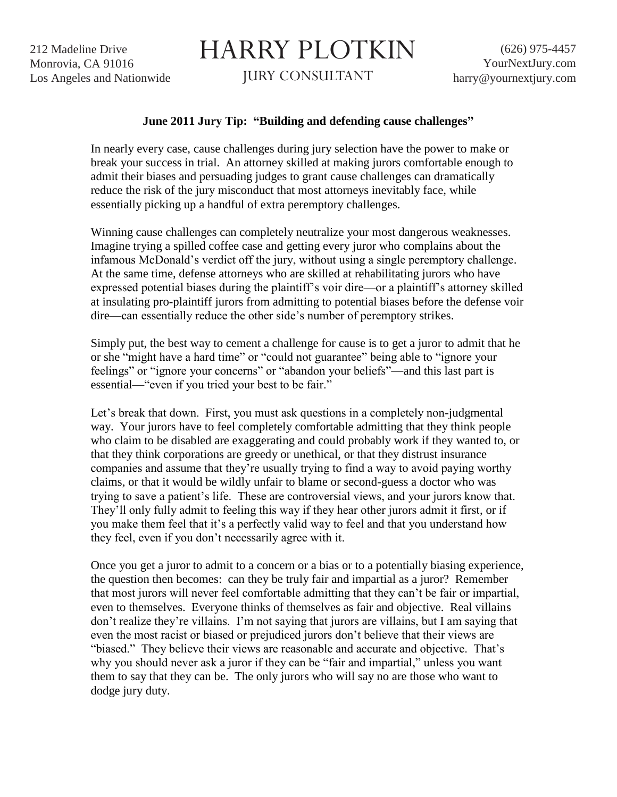212 Madeline Drive Monrovia, CA 91016 Los Angeles and Nationwide

## HARRY PLOTKIN

JURY CONSULTANT

## **June 2011 Jury Tip: "Building and defending cause challenges"**

In nearly every case, cause challenges during jury selection have the power to make or break your success in trial. An attorney skilled at making jurors comfortable enough to admit their biases and persuading judges to grant cause challenges can dramatically reduce the risk of the jury misconduct that most attorneys inevitably face, while essentially picking up a handful of extra peremptory challenges.

Winning cause challenges can completely neutralize your most dangerous weaknesses. Imagine trying a spilled coffee case and getting every juror who complains about the infamous McDonald's verdict off the jury, without using a single peremptory challenge. At the same time, defense attorneys who are skilled at rehabilitating jurors who have expressed potential biases during the plaintiff's voir dire—or a plaintiff's attorney skilled at insulating pro-plaintiff jurors from admitting to potential biases before the defense voir dire—can essentially reduce the other side's number of peremptory strikes.

Simply put, the best way to cement a challenge for cause is to get a juror to admit that he or she "might have a hard time" or "could not guarantee" being able to "ignore your feelings" or "ignore your concerns" or "abandon your beliefs"—and this last part is essential—"even if you tried your best to be fair."

Let's break that down. First, you must ask questions in a completely non-judgmental way. Your jurors have to feel completely comfortable admitting that they think people who claim to be disabled are exaggerating and could probably work if they wanted to, or that they think corporations are greedy or unethical, or that they distrust insurance companies and assume that they're usually trying to find a way to avoid paying worthy claims, or that it would be wildly unfair to blame or second-guess a doctor who was trying to save a patient's life. These are controversial views, and your jurors know that. They'll only fully admit to feeling this way if they hear other jurors admit it first, or if you make them feel that it's a perfectly valid way to feel and that you understand how they feel, even if you don't necessarily agree with it.

Once you get a juror to admit to a concern or a bias or to a potentially biasing experience, the question then becomes: can they be truly fair and impartial as a juror? Remember that most jurors will never feel comfortable admitting that they can't be fair or impartial, even to themselves. Everyone thinks of themselves as fair and objective. Real villains don't realize they're villains. I'm not saying that jurors are villains, but I am saying that even the most racist or biased or prejudiced jurors don't believe that their views are "biased." They believe their views are reasonable and accurate and objective. That's why you should never ask a juror if they can be "fair and impartial," unless you want them to say that they can be. The only jurors who will say no are those who want to dodge jury duty.